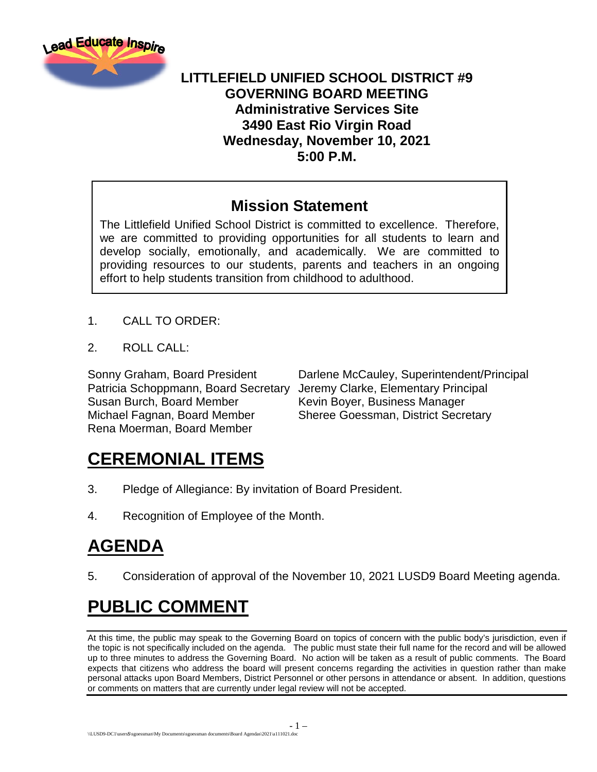

#### **LITTLEFIELD UNIFIED SCHOOL DISTRICT #9 GOVERNING BOARD MEETING Administrative Services Site 3490 East Rio Virgin Road Wednesday, November 10, 2021 5:00 P.M.**

#### **Mission Statement**

The Littlefield Unified School District is committed to excellence. Therefore, we are committed to providing opportunities for all students to learn and develop socially, emotionally, and academically. We are committed to providing resources to our students, parents and teachers in an ongoing effort to help students transition from childhood to adulthood.

- 1. CALL TO ORDER:
- 2. ROLL CALL:

Patricia Schoppmann, Board Secretary Jeremy Clarke, Elementary Principal Susan Burch, Board Member Kevin Boyer, Business Manager Michael Fagnan, Board Member Sheree Goessman, District Secretary Rena Moerman, Board Member

Sonny Graham, Board President Darlene McCauley, Superintendent/Principal

# **CEREMONIAL ITEMS**

- 3. Pledge of Allegiance: By invitation of Board President.
- 4. Recognition of Employee of the Month.

# **AGENDA**

5. Consideration of approval of the November 10, 2021 LUSD9 Board Meeting agenda.

# **PUBLIC COMMENT**

At this time, the public may speak to the Governing Board on topics of concern with the public body's jurisdiction, even if the topic is not specifically included on the agenda. The public must state their full name for the record and will be allowed up to three minutes to address the Governing Board. No action will be taken as a result of public comments. The Board expects that citizens who address the board will present concerns regarding the activities in question rather than make personal attacks upon Board Members, District Personnel or other persons in attendance or absent. In addition, questions or comments on matters that are currently under legal review will not be accepted.

- 1 –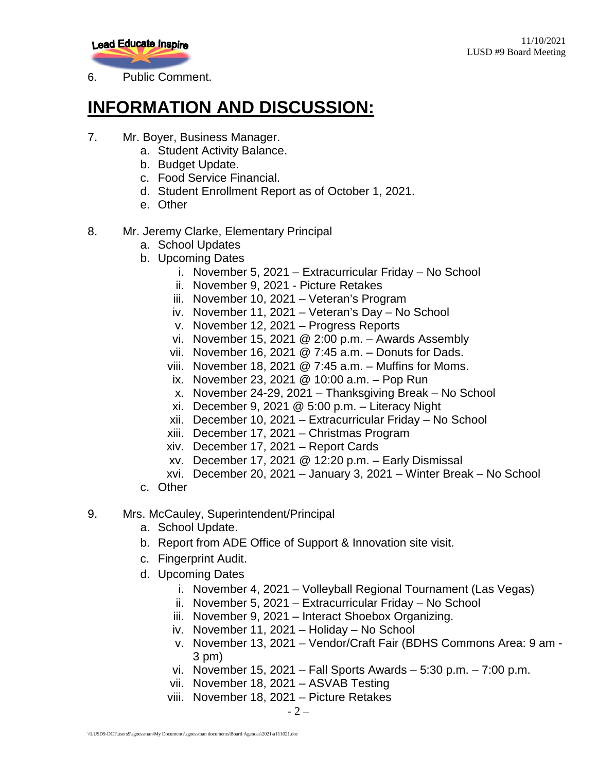

6. Public Comment.

# **INFORMATION AND DISCUSSION:**

- 7. Mr. Boyer, Business Manager.
	- a. Student Activity Balance.
	- b. Budget Update.
	- c. Food Service Financial.
	- d. Student Enrollment Report as of October 1, 2021.
	- e. Other
- 8. Mr. Jeremy Clarke, Elementary Principal
	- a. School Updates
	- b. Upcoming Dates
		- i. November 5, 2021 Extracurricular Friday No School
		- ii. November 9, 2021 Picture Retakes
		- iii. November 10, 2021 Veteran's Program
		- iv. November 11, 2021 Veteran's Day No School
		- v. November 12, 2021 Progress Reports
		- vi. November 15, 2021 @ 2:00 p.m. Awards Assembly
		- vii. November 16, 2021 @ 7:45 a.m. Donuts for Dads.
		- viii. November 18, 2021  $@ 7:45 a.m. Muffins$  for Moms.
		- ix. November 23, 2021 @ 10:00 a.m. Pop Run
		- x. November 24-29, 2021 Thanksgiving Break No School
		- xi. December 9, 2021 @ 5:00 p.m. Literacy Night
		- xii. December 10, 2021 Extracurricular Friday No School
		- xiii. December 17, 2021 Christmas Program
		- xiv. December 17, 2021 Report Cards
		- xv. December 17, 2021 @ 12:20 p.m. Early Dismissal
		- xvi. December 20, 2021 January 3, 2021 Winter Break No School
	- c. Other
- 9. Mrs. McCauley, Superintendent/Principal
	- a. School Update.
	- b. Report from ADE Office of Support & Innovation site visit.
	- c. Fingerprint Audit.
	- d. Upcoming Dates
		- i. November 4, 2021 Volleyball Regional Tournament (Las Vegas)
		- ii. November 5, 2021 Extracurricular Friday No School
		- iii. November 9, 2021 Interact Shoebox Organizing.
		- iv. November 11, 2021 Holiday No School
		- v. November 13, 2021 Vendor/Craft Fair (BDHS Commons Area: 9 am 3 pm)
		- vi. November 15, 2021 Fall Sports Awards 5:30 p.m. 7:00 p.m.
		- vii. November 18, 2021 ASVAB Testing
		- viii. November 18, 2021 Picture Retakes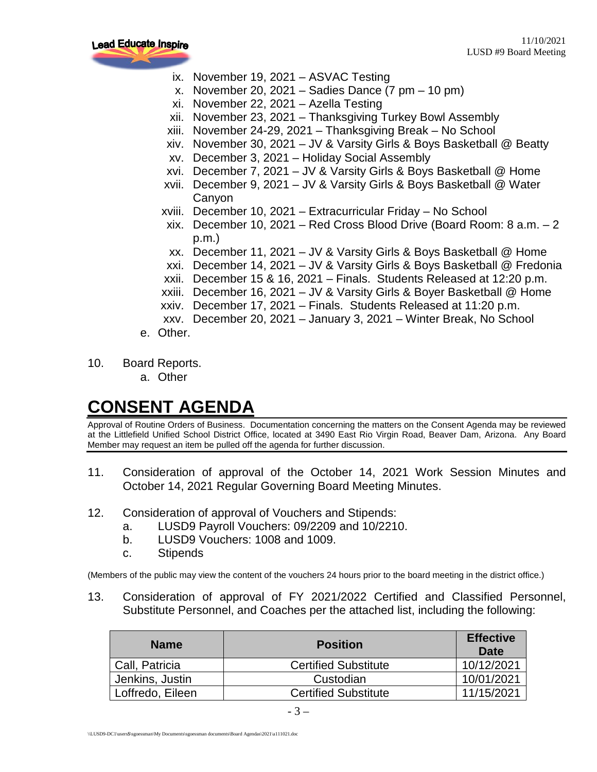

- ix. November 19, 2021 ASVAC Testing
- x. November 20, 2021 Sadies Dance  $(7 \text{ pm} 10 \text{ pm})$
- xi. November 22, 2021 Azella Testing
- xii. November 23, 2021 Thanksgiving Turkey Bowl Assembly
- xiii. November 24-29, 2021 Thanksgiving Break No School
- xiv. November 30, 2021 JV & Varsity Girls & Boys Basketball @ Beatty
- xv. December 3, 2021 Holiday Social Assembly
- xvi. December 7, 2021 JV & Varsity Girls & Boys Basketball @ Home
- xvii. December 9, 2021 JV & Varsity Girls & Boys Basketball @ Water Canyon
- xviii. December 10, 2021 Extracurricular Friday No School
- xix. December 10, 2021 Red Cross Blood Drive (Board Room: 8 a.m. 2 p.m.)
- xx. December 11, 2021 JV & Varsity Girls & Boys Basketball @ Home
- xxi. December 14, 2021 JV & Varsity Girls & Boys Basketball @ Fredonia
- xxii. December 15 & 16, 2021 Finals. Students Released at 12:20 p.m.
- xxiii. December 16, 2021 JV & Varsity Girls & Boyer Basketball @ Home
- xxiv. December 17, 2021 Finals. Students Released at 11:20 p.m.
- xxv. December 20, 2021 January 3, 2021 Winter Break, No School
- e. Other.
- 10. Board Reports.
	- a. Other

# **CONSENT AGENDA**

Approval of Routine Orders of Business. Documentation concerning the matters on the Consent Agenda may be reviewed at the Littlefield Unified School District Office, located at 3490 East Rio Virgin Road, Beaver Dam, Arizona. Any Board Member may request an item be pulled off the agenda for further discussion.

- 11. Consideration of approval of the October 14, 2021 Work Session Minutes and October 14, 2021 Regular Governing Board Meeting Minutes.
- 12. Consideration of approval of Vouchers and Stipends:
	- a. LUSD9 Payroll Vouchers: 09/2209 and 10/2210.
	- b. LUSD9 Vouchers: 1008 and 1009.
	- c. Stipends

(Members of the public may view the content of the vouchers 24 hours prior to the board meeting in the district office.)

13. Consideration of approval of FY 2021/2022 Certified and Classified Personnel, Substitute Personnel, and Coaches per the attached list, including the following:

| <b>Name</b>      | <b>Position</b>             | <b>Effective</b><br>Date |
|------------------|-----------------------------|--------------------------|
| Call, Patricia   | <b>Certified Substitute</b> | 10/12/2021               |
| Jenkins, Justin  | Custodian                   | 10/01/2021               |
| Loffredo, Eileen | <b>Certified Substitute</b> | 11/15/2021               |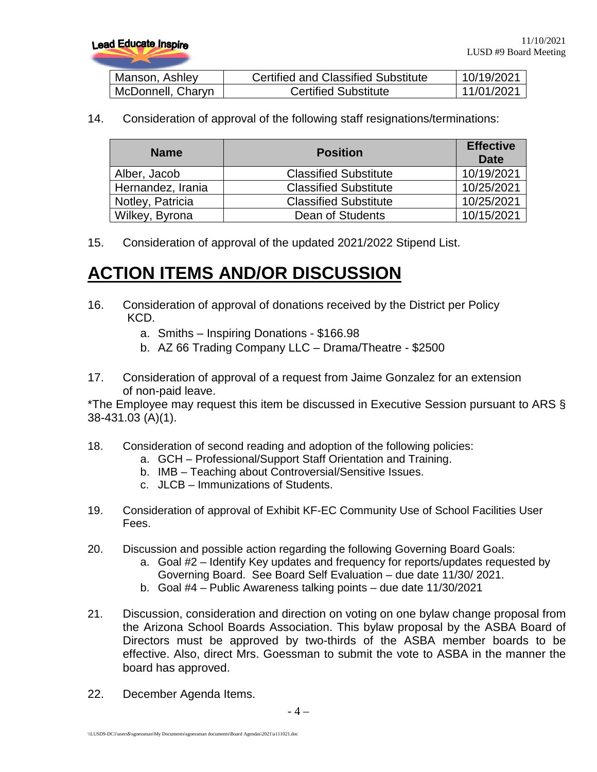| Manson, Ashley    | <b>Certified and Classified Substitute</b> | 10/19/2021 |
|-------------------|--------------------------------------------|------------|
| McDonnell, Charyn | <b>Certified Substitute</b>                | 11/01/2021 |

14. Consideration of approval of the following staff resignations/terminations:

| <b>Name</b>       | <b>Position</b>              | <b>Effective</b><br>Date |
|-------------------|------------------------------|--------------------------|
| Alber, Jacob      | <b>Classified Substitute</b> | 10/19/2021               |
| Hernandez, Irania | <b>Classified Substitute</b> | 10/25/2021               |
| Notley, Patricia  | <b>Classified Substitute</b> | 10/25/2021               |
| Wilkey, Byrona    | Dean of Students             | 10/15/2021               |

15. Consideration of approval of the updated 2021/2022 Stipend List.

# **ACTION ITEMS AND/OR DISCUSSION**

- 16. Consideration of approval of donations received by the District per Policy KCD.
	- a. Smiths Inspiring Donations \$166.98
	- b. AZ 66 Trading Company LLC Drama/Theatre \$2500
- 17. Consideration of approval of a request from Jaime Gonzalez for an extension of non-paid leave.

\*The Employee may request this item be discussed in Executive Session pursuant to ARS § 38-431.03 (A)(1).

- 18. Consideration of second reading and adoption of the following policies:
	- a. GCH Professional/Support Staff Orientation and Training.
	- b. IMB Teaching about Controversial/Sensitive Issues.
	- c. JLCB Immunizations of Students.
- 19. Consideration of approval of Exhibit KF-EC Community Use of School Facilities User Fees.
- 20. Discussion and possible action regarding the following Governing Board Goals:
	- a. Goal #2 Identify Key updates and frequency for reports/updates requested by
	- Governing Board. See Board Self Evaluation due date 11/30/ 2021.
	- b. Goal #4 Public Awareness talking points due date 11/30/2021
- 21. Discussion, consideration and direction on voting on one bylaw change proposal from the Arizona School Boards Association. This bylaw proposal by the ASBA Board of Directors must be approved by two-thirds of the ASBA member boards to be effective. Also, direct Mrs. Goessman to submit the vote to ASBA in the manner the board has approved.
- 22. December Agenda Items.